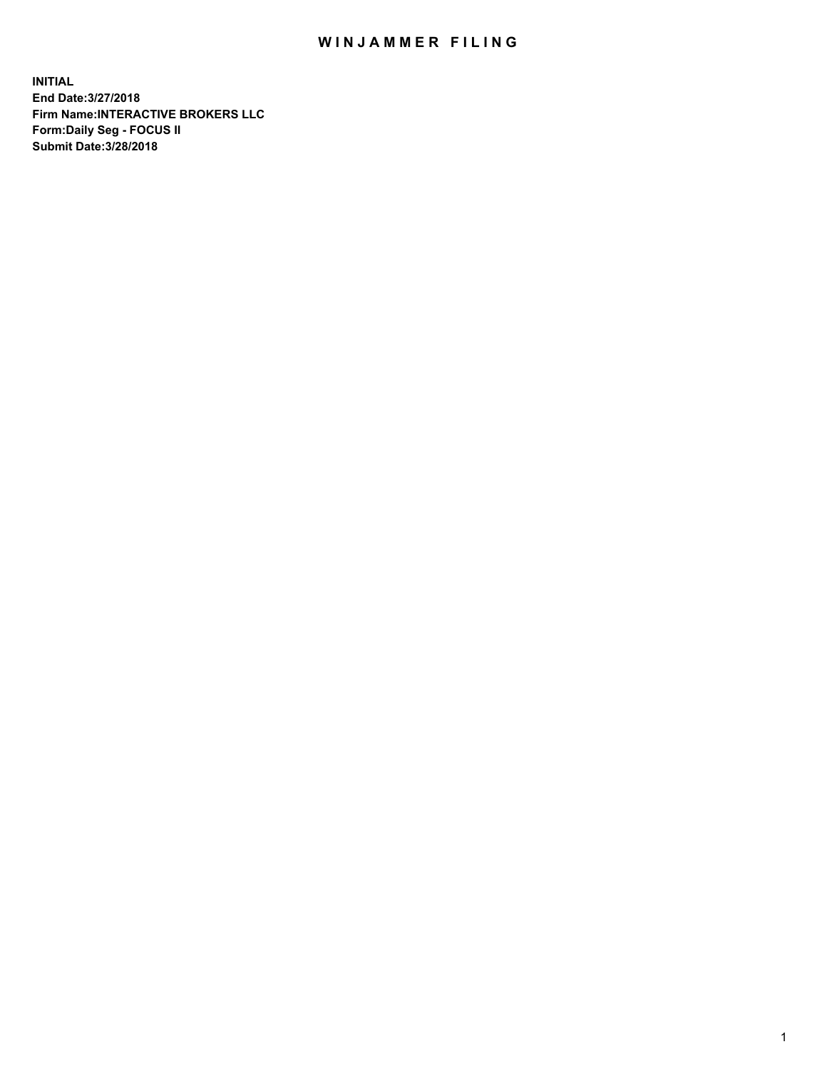## WIN JAMMER FILING

**INITIAL End Date:3/27/2018 Firm Name:INTERACTIVE BROKERS LLC Form:Daily Seg - FOCUS II Submit Date:3/28/2018**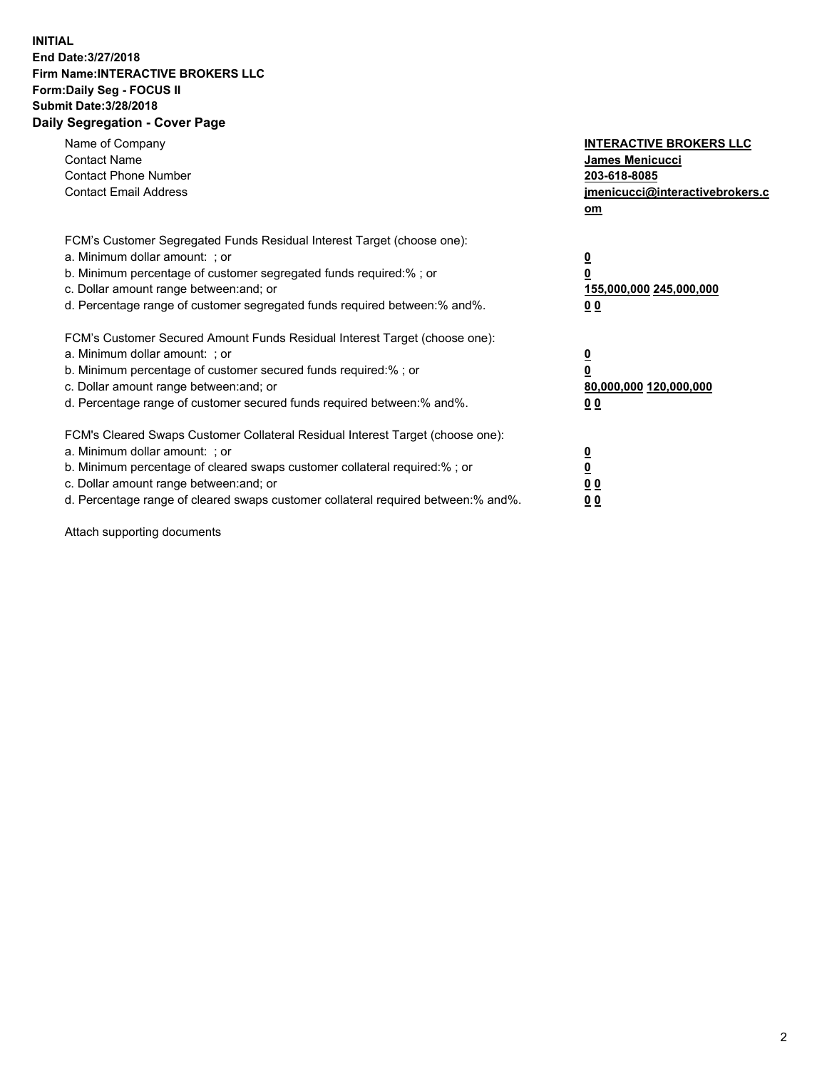## **INITIAL End Date:3/27/2018 Firm Name:INTERACTIVE BROKERS LLC Form:Daily Seg - FOCUS II Submit Date:3/28/2018 Daily Segregation - Cover Page**

| Name of Company<br><b>Contact Name</b><br><b>Contact Phone Number</b><br><b>Contact Email Address</b>                                                                                                                                                                                                                          | <b>INTERACTIVE BROKERS LLC</b><br>James Menicucci<br>203-618-8085<br>jmenicucci@interactivebrokers.c<br>om |
|--------------------------------------------------------------------------------------------------------------------------------------------------------------------------------------------------------------------------------------------------------------------------------------------------------------------------------|------------------------------------------------------------------------------------------------------------|
| FCM's Customer Segregated Funds Residual Interest Target (choose one):<br>a. Minimum dollar amount: ; or<br>b. Minimum percentage of customer segregated funds required:%; or<br>c. Dollar amount range between: and; or<br>d. Percentage range of customer segregated funds required between:% and%.                          | $\overline{\mathbf{0}}$<br>0<br>155,000,000 245,000,000<br>0 <sub>0</sub>                                  |
| FCM's Customer Secured Amount Funds Residual Interest Target (choose one):<br>a. Minimum dollar amount: ; or<br>b. Minimum percentage of customer secured funds required:%; or<br>c. Dollar amount range between: and; or<br>d. Percentage range of customer secured funds required between:% and%.                            | $\overline{\mathbf{0}}$<br>$\overline{\mathbf{0}}$<br>80,000,000 120,000,000<br>00                         |
| FCM's Cleared Swaps Customer Collateral Residual Interest Target (choose one):<br>a. Minimum dollar amount: ; or<br>b. Minimum percentage of cleared swaps customer collateral required:% ; or<br>c. Dollar amount range between: and; or<br>d. Percentage range of cleared swaps customer collateral required between:% and%. | $\overline{\mathbf{0}}$<br>$\overline{\mathbf{0}}$<br>0 <sub>0</sub><br><u>00</u>                          |

Attach supporting documents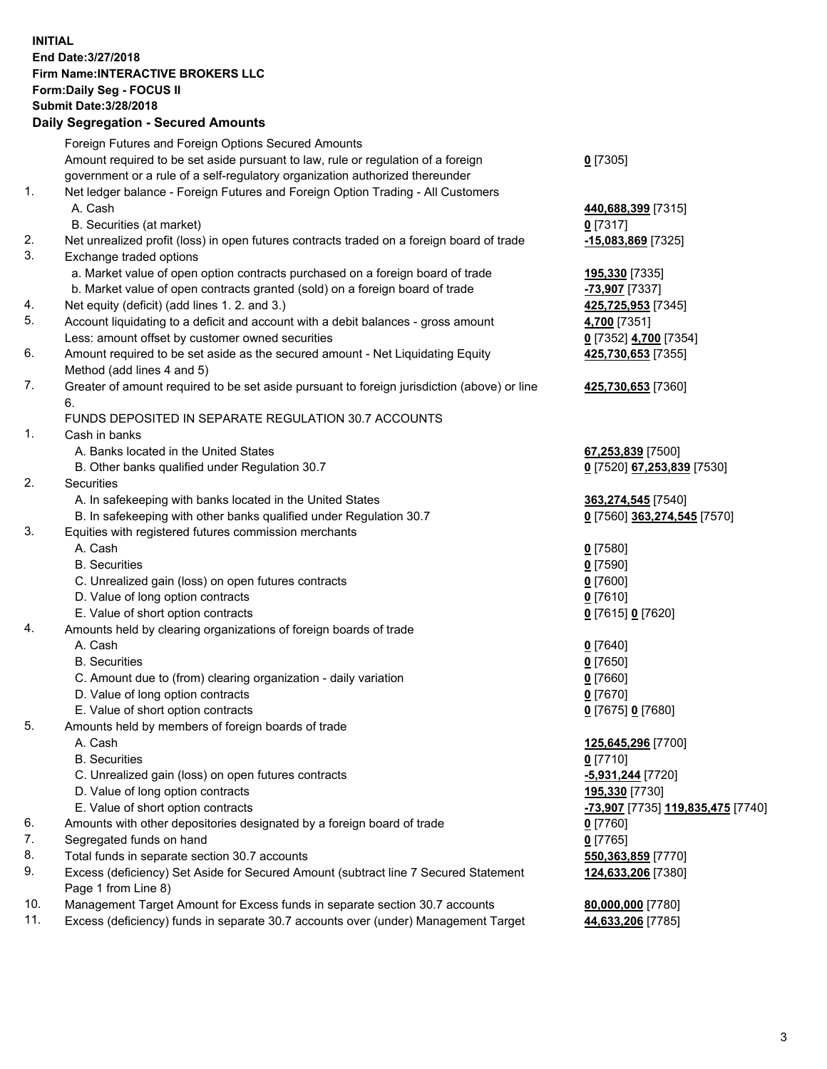## **INITIAL End Date:3/27/2018 Firm Name:INTERACTIVE BROKERS LLC Form:Daily Seg - FOCUS II Submit Date:3/28/2018 Daily Segregation - Secured Amounts**

|     | Daily Ocglegation - Occured Aniounts                                                        |                                   |
|-----|---------------------------------------------------------------------------------------------|-----------------------------------|
|     | Foreign Futures and Foreign Options Secured Amounts                                         |                                   |
|     | Amount required to be set aside pursuant to law, rule or regulation of a foreign            | $0$ [7305]                        |
|     | government or a rule of a self-regulatory organization authorized thereunder                |                                   |
| 1.  | Net ledger balance - Foreign Futures and Foreign Option Trading - All Customers             |                                   |
|     | A. Cash                                                                                     | 440,688,399 [7315]                |
|     | B. Securities (at market)                                                                   | $0$ [7317]                        |
| 2.  | Net unrealized profit (loss) in open futures contracts traded on a foreign board of trade   | -15,083,869 [7325]                |
| 3.  | Exchange traded options                                                                     |                                   |
|     | a. Market value of open option contracts purchased on a foreign board of trade              |                                   |
|     | b. Market value of open contracts granted (sold) on a foreign board of trade                | 195,330 [7335]                    |
|     |                                                                                             | -73,907 [7337]                    |
| 4.  | Net equity (deficit) (add lines 1.2. and 3.)                                                | 425,725,953 [7345]                |
| 5.  | Account liquidating to a deficit and account with a debit balances - gross amount           | 4,700 [7351]                      |
|     | Less: amount offset by customer owned securities                                            | 0 [7352] 4,700 [7354]             |
| 6.  | Amount required to be set aside as the secured amount - Net Liquidating Equity              | 425,730,653 [7355]                |
|     | Method (add lines 4 and 5)                                                                  |                                   |
| 7.  | Greater of amount required to be set aside pursuant to foreign jurisdiction (above) or line | 425,730,653 [7360]                |
|     | 6.                                                                                          |                                   |
|     | FUNDS DEPOSITED IN SEPARATE REGULATION 30.7 ACCOUNTS                                        |                                   |
| 1.  | Cash in banks                                                                               |                                   |
|     | A. Banks located in the United States                                                       | 67,253,839 [7500]                 |
|     | B. Other banks qualified under Regulation 30.7                                              | 0 [7520] 67,253,839 [7530]        |
| 2.  | <b>Securities</b>                                                                           |                                   |
|     | A. In safekeeping with banks located in the United States                                   | 363,274,545 [7540]                |
|     | B. In safekeeping with other banks qualified under Regulation 30.7                          | 0 [7560] 363,274,545 [7570]       |
| 3.  | Equities with registered futures commission merchants                                       |                                   |
|     | A. Cash                                                                                     | $0$ [7580]                        |
|     | <b>B.</b> Securities                                                                        | $0$ [7590]                        |
|     | C. Unrealized gain (loss) on open futures contracts                                         | $0$ [7600]                        |
|     | D. Value of long option contracts                                                           | $0$ [7610]                        |
|     | E. Value of short option contracts                                                          | 0 [7615] 0 [7620]                 |
| 4.  | Amounts held by clearing organizations of foreign boards of trade                           |                                   |
|     | A. Cash                                                                                     |                                   |
|     |                                                                                             | $0$ [7640]                        |
|     | <b>B.</b> Securities                                                                        | $0$ [7650]                        |
|     | C. Amount due to (from) clearing organization - daily variation                             | $0$ [7660]                        |
|     | D. Value of long option contracts                                                           | $0$ [7670]                        |
|     | E. Value of short option contracts                                                          | 0 [7675] 0 [7680]                 |
| 5.  | Amounts held by members of foreign boards of trade                                          |                                   |
|     | A. Cash                                                                                     | 125,645,296 [7700]                |
|     | <b>B.</b> Securities                                                                        | $0$ [7710]                        |
|     | C. Unrealized gain (loss) on open futures contracts                                         | -5,931,244 [7720]                 |
|     | D. Value of long option contracts                                                           | 195,330 [7730]                    |
|     | E. Value of short option contracts                                                          | -73,907 [7735] 119,835,475 [7740] |
| 6.  | Amounts with other depositories designated by a foreign board of trade                      | 0 [7760]                          |
| 7.  | Segregated funds on hand                                                                    | $0$ [7765]                        |
| 8.  | Total funds in separate section 30.7 accounts                                               | 550,363,859 [7770]                |
| 9.  | Excess (deficiency) Set Aside for Secured Amount (subtract line 7 Secured Statement         | 124,633,206 [7380]                |
|     | Page 1 from Line 8)                                                                         |                                   |
| 10. | Management Target Amount for Excess funds in separate section 30.7 accounts                 | 80,000,000 [7780]                 |
| 11. | Excess (deficiency) funds in separate 30.7 accounts over (under) Management Target          | 44,633,206 [7785]                 |
|     |                                                                                             |                                   |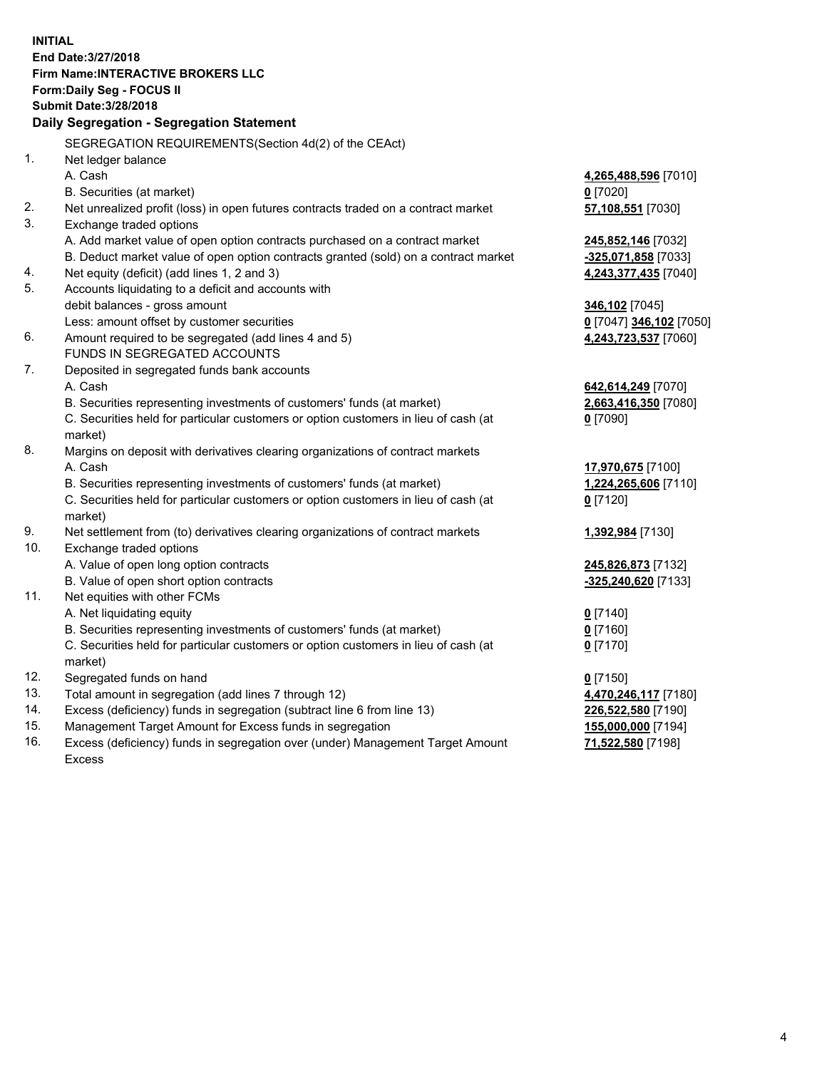**INITIAL End Date:3/27/2018 Firm Name:INTERACTIVE BROKERS LLC Form:Daily Seg - FOCUS II Submit Date:3/28/2018 Daily Segregation - Segregation Statement** SEGREGATION REQUIREMENTS(Section 4d(2) of the CEAct) 1. Net ledger balance A. Cash **4,265,488,596** [7010] B. Securities (at market) **0** [7020] 2. Net unrealized profit (loss) in open futures contracts traded on a contract market **57,108,551** [7030] 3. Exchange traded options A. Add market value of open option contracts purchased on a contract market **245,852,146** [7032] B. Deduct market value of open option contracts granted (sold) on a contract market **-325,071,858** [7033] 4. Net equity (deficit) (add lines 1, 2 and 3) **4,243,377,435** [7040] 5. Accounts liquidating to a deficit and accounts with debit balances - gross amount **346,102** [7045] Less: amount offset by customer securities **0** [7047] **346,102** [7050] 6. Amount required to be segregated (add lines 4 and 5) **4,243,723,537** [7060] FUNDS IN SEGREGATED ACCOUNTS 7. Deposited in segregated funds bank accounts A. Cash **642,614,249** [7070] B. Securities representing investments of customers' funds (at market) **2,663,416,350** [7080] C. Securities held for particular customers or option customers in lieu of cash (at market) **0** [7090] 8. Margins on deposit with derivatives clearing organizations of contract markets A. Cash **17,970,675** [7100] B. Securities representing investments of customers' funds (at market) **1,224,265,606** [7110] C. Securities held for particular customers or option customers in lieu of cash (at market) **0** [7120] 9. Net settlement from (to) derivatives clearing organizations of contract markets **1,392,984** [7130] 10. Exchange traded options A. Value of open long option contracts **245,826,873** [7132] B. Value of open short option contracts **-325,240,620** [7133] 11. Net equities with other FCMs A. Net liquidating equity **0** [7140] B. Securities representing investments of customers' funds (at market) **0** [7160] C. Securities held for particular customers or option customers in lieu of cash (at market) **0** [7170] 12. Segregated funds on hand **0** [7150] 13. Total amount in segregation (add lines 7 through 12) **4,470,246,117** [7180] 14. Excess (deficiency) funds in segregation (subtract line 6 from line 13) **226,522,580** [7190] 15. Management Target Amount for Excess funds in segregation **155,000,000** [7194]

16. Excess (deficiency) funds in segregation over (under) Management Target Amount Excess

**71,522,580** [7198]